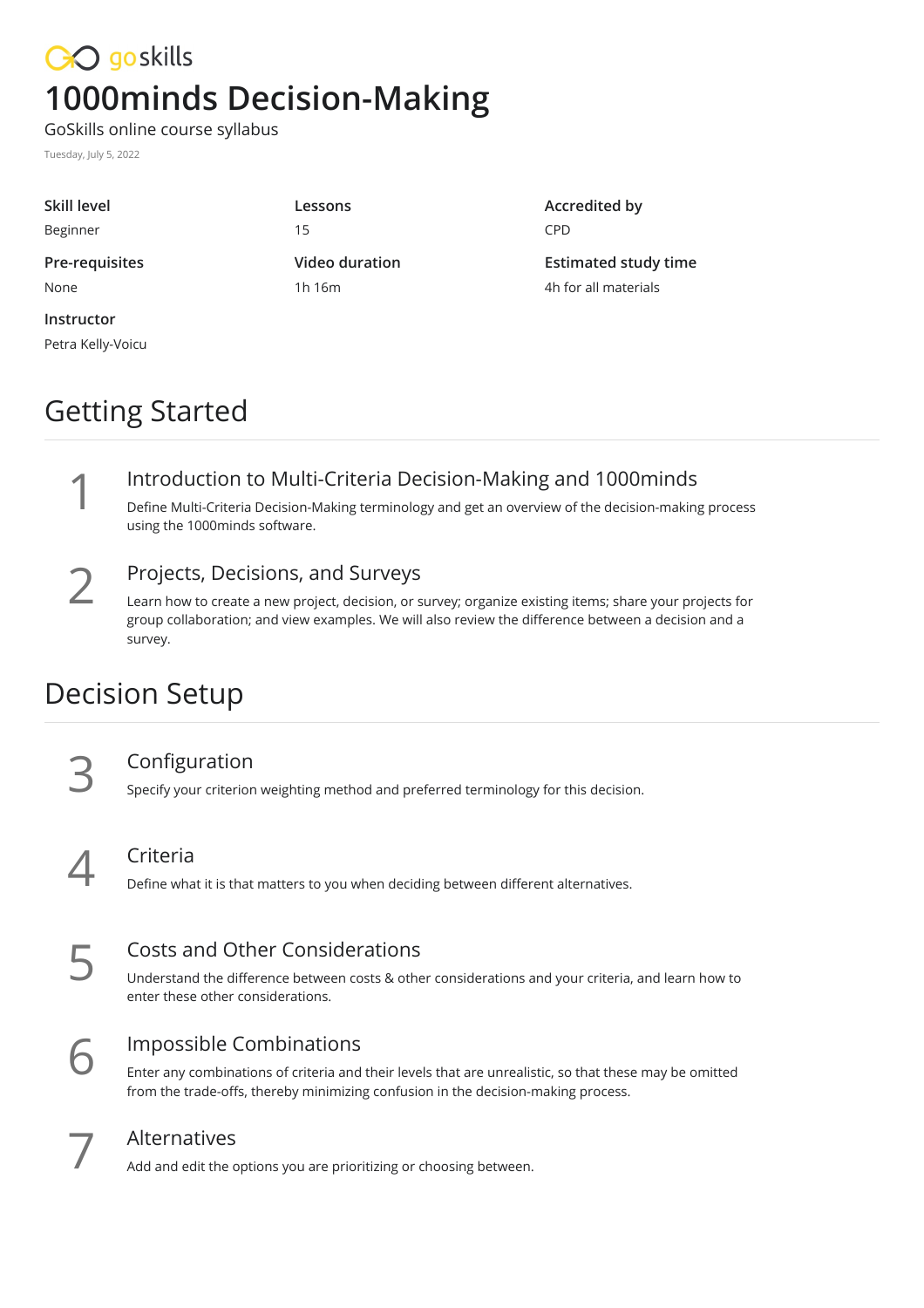# CO goskills **1000minds Decision-Making**

GoSkills online course syllabus

Tuesday, July 5, 2022

| Skill level<br>Beginner | Lessons<br>15 | Accredited by<br><b>CPD</b> |
|-------------------------|---------------|-----------------------------|
|                         |               |                             |
| None                    | 1h 16m        | 4h for all materials        |
| Instructor              |               |                             |

Petra Kelly-Voicu

# Getting Started

Introduction to Multi-Criteria Decision-Making and 1000minds<br>
Define Multi-Criteria Decision-Making terminology and get an overview of the decision-making<br>
using the 1000minds software. Define Multi-Criteria Decision-Making terminology and get an overview of the decision-making process

2

### Projects, Decisions, and Surveys

Learn how to create a new project, decision, or survey; organize existing items; share your projects for group collaboration; and view examples. We will also review the difference between a decision and a survey.

## Decision Setup

Configuration<br>3 Specify your criterion weighting method and preferred terminology for this decision.

Criteria<br>Define what it is that matters to you when deciding between different alternatives.

## Costs and Other Considerations

Understand the difference between costs & other considerations and your criteria, and learn how to **EXECUTE SET SANCE CONSISTED SET SOLUTE:** Understand the difference betweenter these other considerations.

### Impossible Combinations

Enter any combinations of criteria and their levels that are unrealistic, so that these may be omitted **form the trade-offs, thereby minimizing confusion in the decision-making process.** from the trade-offs, thereby minimizing confusion in the decision-making process.



Alternatives<br>Add and edit the options you are prioritizing or choosing between.